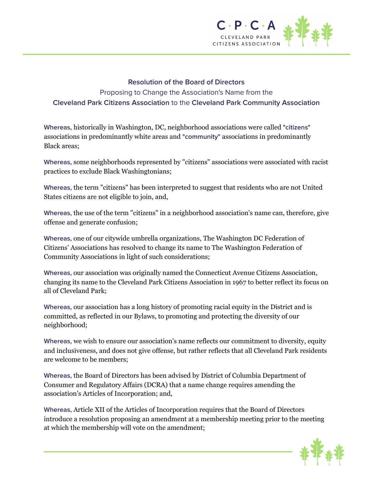

## **Resolution of the Board of Directors**

Proposing to Change the Association's Name from the **Cleveland Park Citizens Association** to the **Cleveland Park Community Association**

**Whereas,** historically in Washington, DC, neighborhood associations were called **"citizens"** associations in predominantly white areas and **"community"** associations in predominantly Black areas;

**Whereas,** some neighborhoods represented by "citizens" associations were associated with racist practices to exclude Black Washingtonians;

**Whereas,** the term "citizens" has been interpreted to suggest that residents who are not United States citizens are not eligible to join, and,

**Whereas,** the use of the term "citizens" in a neighborhood association's name can, therefore, give offense and generate confusion;

**Whereas,** one of our citywide umbrella organizations, The Washington DC Federation of Citizens' Associations has resolved to change its name to The Washington Federation of Community Associations in light of such considerations;

**Whereas,** our association was originally named the Connecticut Avenue Citizens Association, changing its name to the Cleveland Park Citizens Association in 1967 to better reflect its focus on all of Cleveland Park;

**Whereas,** our association has a long history of promoting racial equity in the District and is committed, as reflected in our Bylaws, to promoting and protecting the diversity of our neighborhood;

**Whereas,** we wish to ensure our association's name reflects our commitment to diversity, equity and inclusiveness, and does not give offense, but rather reflects that all Cleveland Park residents are welcome to be members;

**Whereas,** the Board of Directors has been advised by District of Columbia Department of Consumer and Regulatory Affairs (DCRA) that a name change requires amending the association's Articles of Incorporation; and,

**Whereas,** Article XII of the Articles of Incorporation requires that the Board of Directors introduce a resolution proposing an amendment at a membership meeting prior to the meeting at which the membership will vote on the amendment;